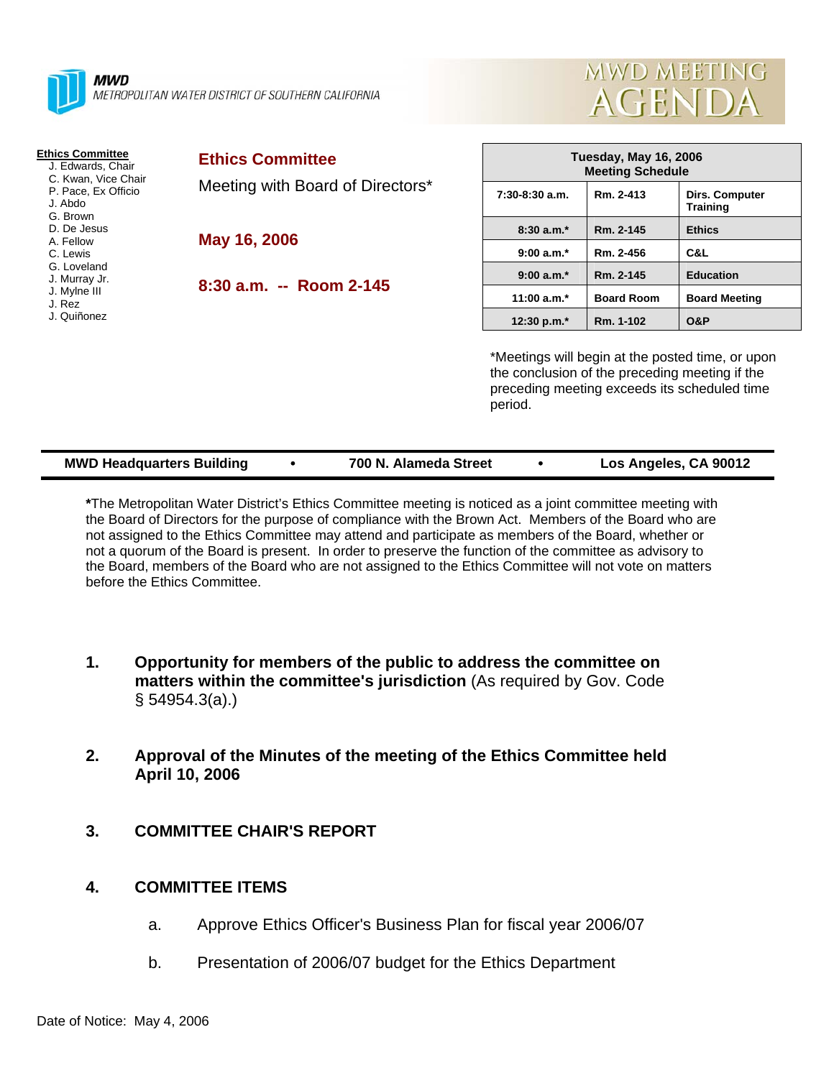



| <b>Ethics Committee</b><br>J. Edwards, Chair<br>C. Kwan, Vice Chair<br>P. Pace, Ex Officio<br>J. Abdo<br>G. Brown<br>D. De Jesus<br>A. Fellow<br>C. Lewis<br>G. Loveland<br>J. Murray Jr.<br>J. Mylne III<br>J. Rez<br>J. Quiñonez | <b>Ethics Committee</b><br>Meeting with Board of Directors*<br>May 16, 2006 | <b>Tuesday, May 16, 2006</b><br><b>Meeting Schedule</b>                                                                                                       |                   |                                   |  |
|------------------------------------------------------------------------------------------------------------------------------------------------------------------------------------------------------------------------------------|-----------------------------------------------------------------------------|---------------------------------------------------------------------------------------------------------------------------------------------------------------|-------------------|-----------------------------------|--|
|                                                                                                                                                                                                                                    |                                                                             | $7:30-8:30$ a.m.                                                                                                                                              | Rm. 2-413         | Dirs. Computer<br><b>Training</b> |  |
|                                                                                                                                                                                                                                    |                                                                             | $8:30a.m.*$                                                                                                                                                   | Rm. 2-145         | <b>Ethics</b>                     |  |
|                                                                                                                                                                                                                                    |                                                                             | $9:00 a.m.*$                                                                                                                                                  | Rm. 2-456         | C&L                               |  |
|                                                                                                                                                                                                                                    | $8:30$ a.m. -- Room 2-145                                                   | $9:00 a.m.*$                                                                                                                                                  | Rm. 2-145         | <b>Education</b>                  |  |
|                                                                                                                                                                                                                                    |                                                                             | 11:00 $a.m.*$                                                                                                                                                 | <b>Board Room</b> | <b>Board Meeting</b>              |  |
|                                                                                                                                                                                                                                    |                                                                             | 12:30 p.m.*                                                                                                                                                   | Rm. 1-102         | <b>O&amp;P</b>                    |  |
|                                                                                                                                                                                                                                    |                                                                             | *Meetings will begin at the posted time, or upon<br>the conclusion of the preceding meeting if the<br>preceding meeting exceeds its scheduled time<br>period. |                   |                                   |  |

| <b>MWD Headquarters Building</b> |  | 700 N. Alameda Street |  | Los Angeles, CA 90012 |
|----------------------------------|--|-----------------------|--|-----------------------|
|----------------------------------|--|-----------------------|--|-----------------------|

**\***The Metropolitan Water District's Ethics Committee meeting is noticed as a joint committee meeting with the Board of Directors for the purpose of compliance with the Brown Act. Members of the Board who are not assigned to the Ethics Committee may attend and participate as members of the Board, whether or not a quorum of the Board is present. In order to preserve the function of the committee as advisory to the Board, members of the Board who are not assigned to the Ethics Committee will not vote on matters before the Ethics Committee.

- **1. Opportunity for members of the public to address the committee on matters within the committee's jurisdiction** (As required by Gov. Code § 54954.3(a).)
- **2. Approval of the Minutes of the meeting of the Ethics Committee held April 10, 2006**
- **3. COMMITTEE CHAIR'S REPORT**

## **4. COMMITTEE ITEMS**

- a. Approve Ethics Officer's Business Plan for fiscal year 2006/07
- b. Presentation of 2006/07 budget for the Ethics Department